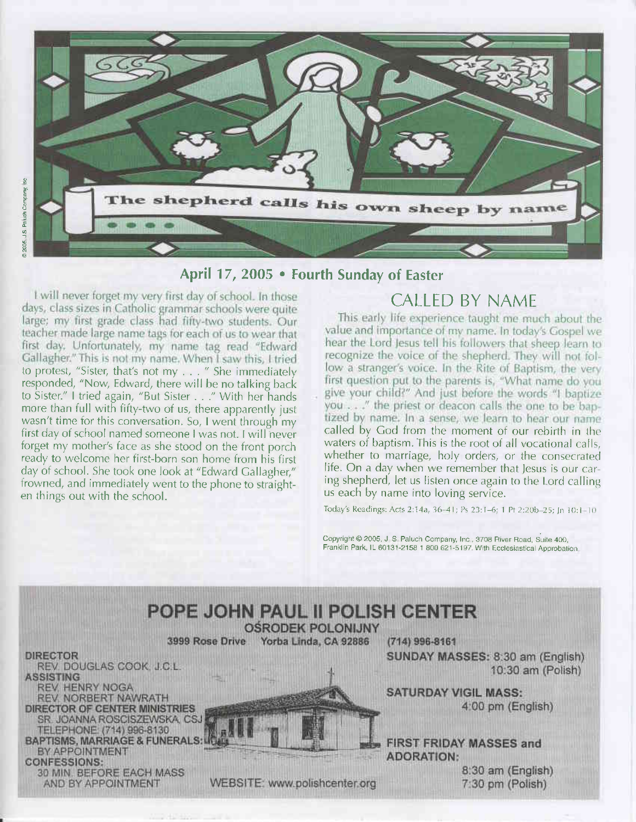

# April 17, 2005 . Fourth Sunday of Easter

I will never forget my very first day of school. In those days, class sizes in Catholic grammar schools were quite large; my first grade class had fifty-two students. Our teacher made large name tags for each of us to wear that first day. Unfortunately, my name tag read "Edward to protest, "Sister, that's not my . . . " She immediately responded, "Now, Edward, there will be no talking back to Sister." I tried again, "But Sister . . ." With her hands more than full with fifty-two of us, there apparently just wasn't time for this conversation. So, I went through my first day of school named someone I was not. I will never forget my mother's face as she stood on the front porch ready to welcome her first-born son home from his first day of school. She took one iook at "Edward Callagher," frowned, and immediately went to the phone to straighten things out with the school.

# CALLED BY NAME

This early life experience taught me much about the value and importance of my name. In today's Gospel we hear the Lord Jesus tell his followers that sheep learn to recognize the voice of the shepherd. They will not follow a stranger's voice. In the Rite of Baptism, the very first question put to the parents is, "What name do you give your child?" And just before the words "I baptize you . . . " the priest or deacon calls the one to be baptized by name. In a sense, we learn to hear our name called by God from the moment of our rebirth in the waters of baptism. This is the root of all vocational calls. whether to marriage, holy orders, or the consccrated life. On a day when we remember that lesus is our caring shepherd, let us listen once again to the Lord calling us each by name into loving service.

Today's Readings: Acts 2:14a, 36-41; Ps 23:1-6; 1 Pt 2:20b-25; Jn 10:1-10

Copyright @ 2005, J. S. Paluch Company, Inc., 3708 River Road, Suite 400, Franklin Park, IL 60131-2158 1 800 621-5197. With Ecclesiastical Approbation

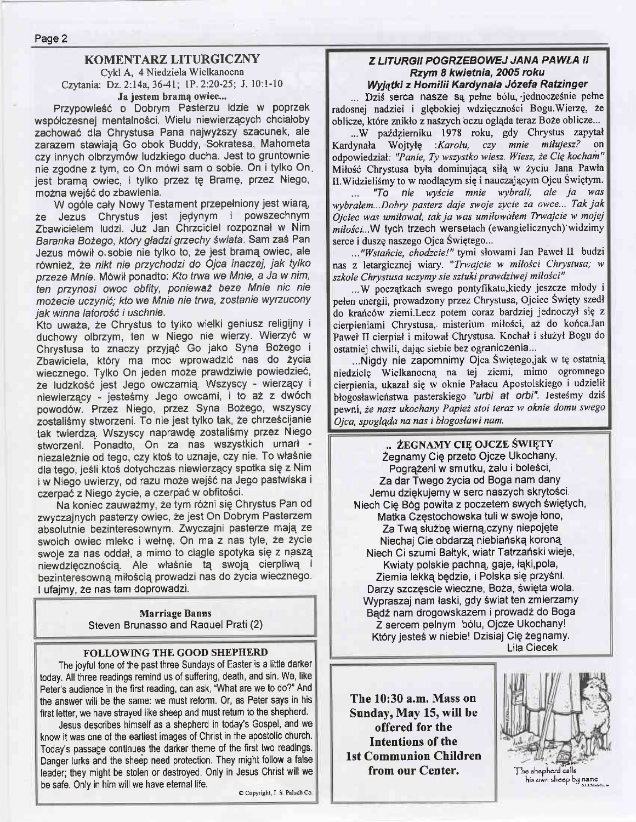# KOMENTARZ LITURGICZNY

Cykl A, 4 Niedziela Wielkanocna Czytania: Dz. 2:14a, 36-41; 1P. 2:20-25; J. 10:1-10 Ja jestem bramą owiec...

Przypowieść o Dobrym Pasterzu idzie w poprzek wsp6lczesnej mentalnosci. Wielu niewierzqcych chcialoby zachowac dla chrystusa Pana najwyzszy szacunek, ale zarazem stawiaje Go obok Buddy, Sokratesa, Mahometa czy innych olbrzym6w ludzkiego ducha. Jest to gruntownie nie zgodne z tym, co On m6wi sam o sobie. On itylko On. jest bramq owiec, i tylko przez te Brame, przez Niego, mozna wej56 do zbawienia.

W ogóle cały Nowy Testament przepełniony jest wiarą, że Jezus Chrystus jest jedynym i powszechnym Zbawicielem ludzi. Juz Jan Chrzciciel rozpoznal w Nim Baranka Bożego, który gładzi grzechy świata. Sam zaś Pan Jezus m6wil o.sobie nie tylko to, ze jest bramq owiec, ale również, że nikt nie przychodzi do Ojca inaczej, jak tylko przeze Mnie. Mówił ponadto: Kto trwa we Mnie, a Ja w nim, ten przynosi owoc obfity, ponieważ beze Mnie nic nie możecie uczynić; kto we Mnie nie trwa, zostanie wyrzucony jak winna latorość i uschnie.

Kto uwaza, 2e Chrystus to tylko wielki geniusz religijny i duchowy olbrzym, ten w Niego nie wierzy. Wierzyć w Chrystusa to znaczy przyjąć Go jako Syna Bożego i Zbawiciela, który ma moc wprowadzić nas do życia wiecznego. Tylko On jeden może prawdziwie powiedzieć, że ludzkość jest Jego owczarnią. Wszyscy - wierzący i niewierzący - jesteśmy Jego owcami, i to aż z dwóch powodów. Przez Niego, przez Syna Bożego, wszyscy zostaliśmy stworzeni. To nie jest tylko tak, że chrześcijanie tak twierdza Wszyscy naprawde zostalismy przez Niego stwozeni. Ponadto, On za nas wszystkich umarl niezaleznie od tego, czy ktos to uznaje, czy nie. To wlasnie dla tego, jesli ktos dotychczas niewierzqcy spotka sie z Nim i w Niego uwierzy, od razu może wejść na Jego pastwiska i czerpać z Niego życie, a czerpać w obfitości.

Na koniec zauwazmy, ze tym r62ni sie Chrystus Pan od zwyczajnych pasterzy owiec, że jest On Dobrym Pasterzem absolutnie bezinteresownym. Zwyczajni pasterze mają ze swoich owiec mleko i wetne. On ma z nas tyle, ze zycie swoje za nas oddał, a mimo to ciągle spotyka się z naszą niewdzięcznością. Ale właśnie tą swoją cierpliwą i bezinteresowną miłością prowadzi nas do życia wiecznego. I ufajmy, 2e nas tam doprowadzi.

> Marriage Banns Steven Brunasso and Raquel Prati (2)

## FOLLOWING THE GOOD SHEPHERD

The joyful tone of the past three Sundays of Easter is a little darker today, All three readings remind us of suffering, death, and sin. We, like Peter's audience in the first reading, can ask, "What are we to do?" And the answer will be the same: we must reform. Or, as Peter says in his first letter, we have strayed like sheep and must return to the shepherd.

Jesus describes himself as a shepherd in today's Gospel, and we know it was one of the earliest images of Christ in the apostolic church. Today's passage continues the darker theme of the first two readings. Danger lurks and the sheep need protection, They might follow a false leader; they might be stolen or destroyed. Only in Jesus Christ will we be safe. Only in him will we have eternal life.

 $O$  Copyright, J S Paluch Co

#### Z LITURGII POGRZEBOWEJ JANA PAWŁA II Rzym 8 kwietnia, 2005 roku Wyjątki z Homilii Kardynała Józefa Ratzinger

... Dziś serca nasze są pełne bólu, jednocześnie pełne radosnej nadziei i glębokiej wdzięczności Bogu.Wierzę, że oblicze, które znikło z naszych oczu ogląda teraz Boże oblicze...

...W październiku 1978 roku, gdy Chrystus zapytał<br>Iynała Wojtyłe *Karolu czy mnie miłujesz?* on Kardynała Wojtyłę :Karolu, czy mnie miłujesz? odpowiedział: "Panie, Ty wszystko wiesz. Wiesz, że Cię kocham" Miłość Chrystusa była dominującą siłą w życiu Jana Pawła II. Widzieliśmy to w modlącym się i nauczającym Ojcu Świętym.

... 'To nie wyicie mnie Wbrali, ale ia was wybrałem...Dobry pasterz daje swoje życie za owce... Tak jak Ojciec was umiłował, tak ja was umiłowałem Trwajcie w mojej milości...W tych trzech wersetach (ewangielicznych) widzimy serce i duszę naszego Ojca Świętego...

..."Wstańcie, chodzcie!" tymi słowami Jan Paweł II budzi nas z letargicznej wiary. "Trwajcie w miłości Chrystusa; w szkole Chrystusa uczymy sie sztuki prawdziwej miłości"

...W początkach swego pontyfikatu,kiedy jeszcze młody i pełen energii, prowadzony przez Chrystusa, Ojciec Święty szedł do krańców ziemi.Lecz potem coraz bardziej jednoczył się z cierpieniami Chrystusa, misterium milo6ci, az do koica.Jan Paweł II cierpiał i miłował Chrystusa. Kochał i służył Bogu do ostatniej chwili, dając siebie bez ograniczenia...

...Nigdy nie zapomnimy Ojca Świętego,jak w tę ostatnią niedzielę Wielkanocną na tej ziemi, mimo ogromnego cierpienia, ukazal sig w oknie Palacu Apostolskiego i udzielil błogosławieństwa pasterskiego "urbi at orbi". Jesteśmy dziś pewni, że nasz ukochany Papież stoi teraz w oknie domu swego Ojca, spoglqda na nas i blogoslawi nam.

## .. ŻEGNAMY CIĘ OJCZE ŚWIĘTY

Żegnamy Cię przeto Ojcze Ukochany, Pogrążeni w smutku, żalu i boleści, Za dar Twego zycia od Boga nam dany Jemu dziekujemy w serc naszych skrytosci. Niech Cie 869 powita z poczetem swych Swietych, Matka Czestochowska tuli w swoje lono, Za Twa służbe wierną czyny niepojęte Niechaj Cie obdarzą niebiańską koroną Niech Ci szumi Bałtyk, wiatr Tatrzański wieje, Kwiaty polskie pachną, gaje, łąki,pola, Ziemia lekką będzie, i Polska się przyśni. Darzy szczęscie wieczne, Boża, święta wola. Wypraszaj nam laski, gdy Swiat ten zmierzamy Badź nam drogowskazem i prowadź do Boga Z sercem pelnym b6lu, Ojcze Ukochany! Który jesteś w niebie! Dzisiaj Cię żegnamy. Lila Ciecek

The 10:30 a.m. Mass on Sunday, May 15, will be offered for the Intentions of the lst Communion Children from our Center.

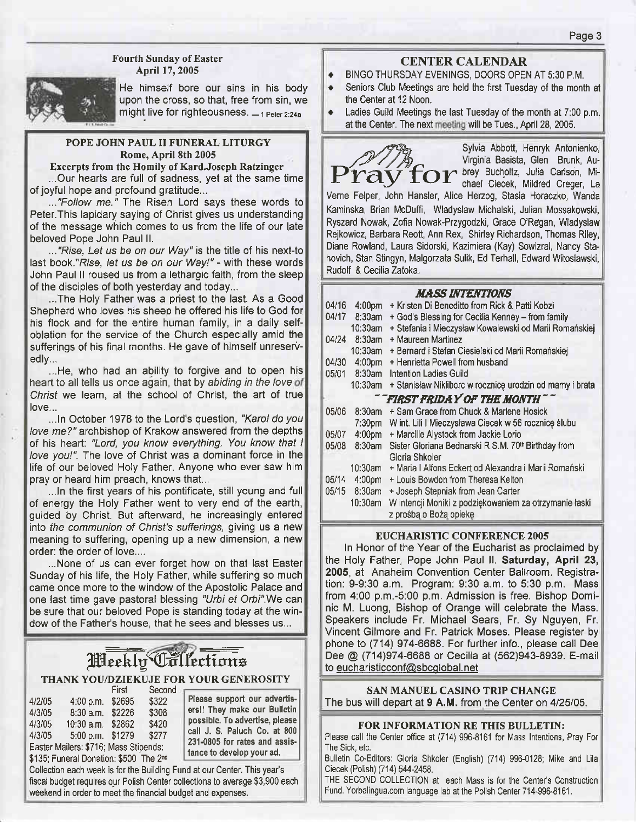### Fourth Sunday of Easter April 17, 2005



He himself bore our sins in his body upon the cross. so that, free from sin, we might live for righteousness.  $-$  1 Peter 2:24a

#### POPE JOHN PAUL II FUNERAL LITURGY Rome, April 8th 2005

Excerpts from the Homily of Kard.Joseph Ratzinger ...Our hearts are full of sadness, yet at the same time of joyful hope and profound gratitude...

..."Follow me." The Risen Lord says these words to Peter.This lapidary saying of Christ gives us understanding of the message which comes to us from the life of our late beloved Pope John Paul ll.

..."Rise, Let us be on our Way" is the title of his next-to last book."Rise, Iet us be on our Way!" - with these words John Paul ll roused us from a lethargic faith, from the sleep of the disciples of both yesterday and today...

...The Holy Father was a priest to the last. As a Good Shepherd who loves his sheep he offered his life to God for his flock and for the entire human family, in a daily selfoblation for the service of the Church especially amid the sufferings of his final months. He gave of himself unreservedly...

...He, who had an ability to forgive and to open his heart to all tells us once again, that by abiding in the love of Christ we learn, at the school of Christ, the art of true love...

...In October 1978 to the Lord's question, "Karol do you love me?" archbishop of Krakow answered from the depths of his heart: "Lord, you know everything. You know that I love you!". The love of Christ was a dominant force in the life of our beloved Holy Father. Anyone who ever saw him pray or heard him preach, knows that...

...In the first years of his pontificate, still young and full of energy the Holy Father went to very end of the earth, guided by Christ. But afterward, he increasingly entered into the communion of Christ's sufferings, giving us a new meaning to suffering, opening up a new dimension, a new order: the order of love....

...None of us can ever forget how on that last Easter Sunday of his life, the Holy Father, while suffering so much came once more to the window of the Apostolic Palace and one last time gave pastoral blessing "Urbi et Orbi". We can be sure that our beloved Pope is standing today at the window of the Father's house, that he sees and blesses us...

# Weekly Collections THANK YOU/DZIEKUJE FOR YOUR GENEROSITY

|        |                                                    | First  | Second |             |
|--------|----------------------------------------------------|--------|--------|-------------|
| 4/2/05 | 4:00 p.m.                                          | \$2695 | \$322  | ľ           |
| 4/3/05 | 8:30 a.m.                                          | \$2226 | \$308  | €           |
| 4/3/05 | $10:30$ a.m.                                       | \$2862 | \$420  | ľ           |
| 4/3/05 | 5:00 p.m. \$1279                                   |        | \$277  | C           |
|        | Easter Mailers: \$716; Mass Stipends:              |        |        | $\acute{ }$ |
|        | \$135; Funeral Donation: \$500 The 2 <sup>nd</sup> |        |        | t           |

Please support our advertisersll They make our Bulletin possible. To advertise, please call J. S. Paluch Co. at 800 231-0805 for rates and assistance to develop your ad.

Collection each week is for the Building Fund at our Center, This year's fiscal budget requires our Polish Center collections to average \$3,900 each weekend in order to meet the financial budget and expenses.

# CENTER CALENDAR

- ◆ BINGO THURSDAY EVENINGS, DOORS OPEN AT 5:30 P.M.
- Seniors Club Meetings are held the first Tuesday of the month at the Center at 12 Noon.
- Ladies Guild Meetings the last Tuesday of the month at 7:00 p.m. at the Center. The next meeting will be Tues., April 28, 2005.

Sylvia Abbott, Henryk Antonienko,<br>Virginia Basista, Glen Brunk, Au-Sylvia Abbott, Henryk Antonienko,<br>Virginia Basista, Glen Brunk, Au-<br>**Pt ay for the State Cleck, Mildred Creger**, La

Verne Felper, John Hansler, Alice Hezog, Stasia Horaczko, Wanda Kaminska, Brian McDuffi, Wladyslaw Michalski, Julian Mossakowski, Ryszard Nowak, Zolia Nowak-Przygodzki, Grace O'Regan, Wladyslaw Rejkowicz, Barbara Reott, Ann Rex, Shirley Richardson, Thomas Riley, Diane Rowland, Laura Sidorski, Kazimiera (Kay) Sowizral, Nancy Stahovich, Stan Stingyn, Malgorzata Sulik, Ed Terhall, Edward Witoslawski, Rudolf & Cecilia Zatoka.

### **HACC INTENTIONS**

|                             |                    | 1111122 1111 1221 1122 122                               |  |
|-----------------------------|--------------------|----------------------------------------------------------|--|
| 04/16                       | 4:00 <sub>pm</sub> | + Kristen Di Beneditto from Rick & Patti Kobzi           |  |
|                             | 04/17 8:30am       | + God's Blessing for Cecilia Kenney - from family        |  |
|                             | 10:30am            | + Stefania i Mieczysław Kowalewski od Marii Romańskiej   |  |
| 04/24                       | 8:30am             | + Maureen Martinez                                       |  |
|                             | 10:30am            | + Bernard i Stefan Ciesielski od Marii Romańskiej        |  |
| 04/30                       | 4:00 <sub>pm</sub> | + Henrietta Powell from husband                          |  |
|                             | 05/01 8:30am       | Intention Ladies Guild                                   |  |
|                             | 10:30am            | + Stanisław Nikliborc w rocznicę urodzin od mamy i brata |  |
| "FIRST FRIDAY OF THE MONTH" |                    |                                                          |  |
| 05/06                       | $8:30$ am          | + Sam Grace from Chuck & Marlene Hosick                  |  |
|                             | 7:30 <sub>pm</sub> | W int. Lili   Mieczysława Ciecek w 56 rocznicę ślubu     |  |
| 05/07                       | 4:00pm             | + Marcille Alystock from Jackie Lorio                    |  |
| 05/08                       | $8:30$ am          | Sister Gloriana Bednarski R.S.M. 70th Birthday from      |  |
|                             |                    | Gloria Shkoler                                           |  |
|                             | 10:30am            | + Maria I Alfons Eckert od Alexandra i Marii Romański    |  |
| 05/14                       | 4:00pm             | + Louis Bowdon from Theresa Kelton                       |  |
|                             | 05/15 8:30am       | + Joseph Stepniak from Jean Carter                       |  |
|                             | 10:30am            | W intencji Moniki z podziękowaniem za otrzymanie łaski   |  |
|                             |                    | z prośbą o Bożą opiekę                                   |  |

#### EUCHARISTIC CONTERENCE 2OO5

In Honor of the Year of the Eucharist as proclaimed by the Holy Father, Pope John Paul ll. Saturday, April 23, 2005, at Anaheim Convention Center Ballroom. Registration: 9-9:30 a.m. Program: 9:30 a.m. to 5:30 p.m. Mass from 4:00 p.m.-5:00 p.m. Admission is free. Bishop Dominic M. Luong, Bishop of Orange will celebrate the Mass. Speakers include Fr. Michael Sears, Fr. Sy Nguyen, Fr. Vincent Gilmore and Fr. Patrick Moses. Please register by phone to (714) 974-6688. For further info., please call Dee Dee @ (714)974-6688 or Cecilia at (562)943-8939. E-mail to eucharisticconf@sbcglobal.net

### SAN MANUEL CASINO TRJP CHANGE

The bus will depart at 9 A.M. from the Center on 4/25/05.

#### FOR INFORMATION RE THIS BULLETIN:

Please call the Center office at (714) 996-8161 for Mass Intentions, Pray For The Sick, etc.

Bulletin Co-Editors: Gloria Shkoler (English) (714) 996-0128; Mike and Lila Ciecek (Polish) (714) 544-2458.

THE SECOND COLLECTION at each Mass is for the Center's Construction Fund. Yorbalingua.com language lab at the Polish Center 714-996-8161.